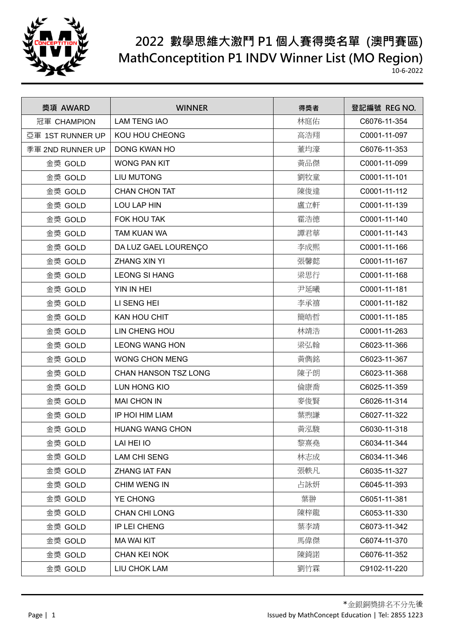

| 獎項 AWARD         | <b>WINNER</b>               | 得獎者 | 登記編號 REG NO. |
|------------------|-----------------------------|-----|--------------|
| 冠軍 CHAMPION      | <b>LAM TENG IAO</b>         | 林庭佑 | C6076-11-354 |
| 亞軍 1ST RUNNER UP | KOU HOU CHEONG              | 高浩翔 | C0001-11-097 |
| 季軍 2ND RUNNER UP | <b>DONG KWAN HO</b>         | 董均濠 | C6076-11-353 |
| 金獎 GOLD          | <b>WONG PAN KIT</b>         | 黃品傑 | C0001-11-099 |
| 金獎 GOLD          | <b>LIU MUTONG</b>           | 劉牧童 | C0001-11-101 |
| 金獎 GOLD          | <b>CHAN CHON TAT</b>        | 陳俊達 | C0001-11-112 |
| 金獎 GOLD          | LOU LAP HIN                 | 盧立軒 | C0001-11-139 |
| 金獎 GOLD          | FOK HOU TAK                 | 霍浩德 | C0001-11-140 |
| 金獎 GOLD          | TAM KUAN WA                 | 譚君華 | C0001-11-143 |
| 金獎 GOLD          | DA LUZ GAEL LOURENÇO        | 李成熙 | C0001-11-166 |
| 金獎 GOLD          | <b>ZHANG XIN YI</b>         | 張馨懿 | C0001-11-167 |
| 金獎 GOLD          | <b>LEONG SI HANG</b>        | 梁思行 | C0001-11-168 |
| 金獎 GOLD          | YIN IN HEI                  | 尹延曦 | C0001-11-181 |
| 金獎 GOLD          | LI SENG HEI                 | 李承禧 | C0001-11-182 |
| 金獎 GOLD          | KAN HOU CHIT                | 簡皓哲 | C0001-11-185 |
| 金獎 GOLD          | LIN CHENG HOU               | 林靖浩 | C0001-11-263 |
| 金獎 GOLD          | <b>LEONG WANG HON</b>       | 梁弘翰 | C6023-11-366 |
| 金獎 GOLD          | <b>WONG CHON MENG</b>       | 黃儁銘 | C6023-11-367 |
| 金獎 GOLD          | <b>CHAN HANSON TSZ LONG</b> | 陳子朗 | C6023-11-368 |
| 金獎 GOLD          | LUN HONG KIO                | 倫康喬 | C6025-11-359 |
| 金獎 GOLD          | <b>MAI CHON IN</b>          | 麥俊賢 | C6026-11-314 |
| 金獎 GOLD          | IP HOI HIM LIAM             | 葉煦謙 | C6027-11-322 |
| 金獎 GOLD          | <b>HUANG WANG CHON</b>      | 黃泓駿 | C6030-11-318 |
| 金獎 GOLD          | LAI HEI IO                  | 黎熹堯 | C6034-11-344 |
| 金獎 GOLD          | <b>LAM CHI SENG</b>         | 林志成 | C6034-11-346 |
| 金獎 GOLD          | ZHANG IAT FAN               | 張軼凡 | C6035-11-327 |
| 金獎 GOLD          | CHIM WENG IN                | 占詠妍 | C6045-11-393 |
| 金獎 GOLD          | YE CHONG                    | 葉翀  | C6051-11-381 |
| 金獎 GOLD          | <b>CHAN CHI LONG</b>        | 陳梓龍 | C6053-11-330 |
| 金獎 GOLD          | IP LEI CHENG                | 葉李靖 | C6073-11-342 |
| 金獎 GOLD          | <b>MA WAI KIT</b>           | 馬偉傑 | C6074-11-370 |
| 金獎 GOLD          | <b>CHAN KEI NOK</b>         | 陳錡諾 | C6076-11-352 |
| 金獎 GOLD          | LIU CHOK LAM                | 劉竹霖 | C9102-11-220 |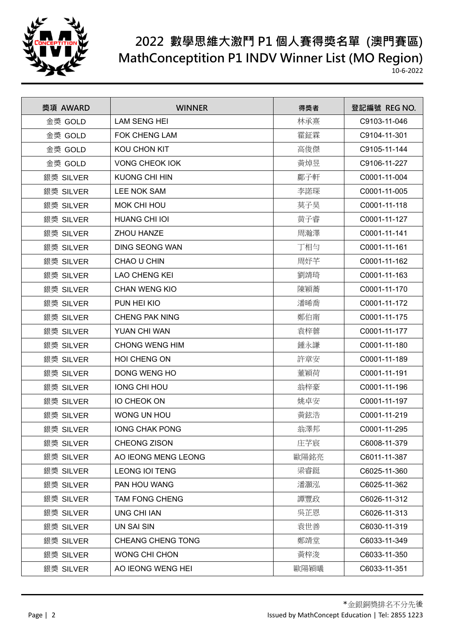

| 獎項 AWARD  | <b>WINNER</b>            | 得獎者  | 登記編號 REG NO. |
|-----------|--------------------------|------|--------------|
| 金獎 GOLD   | <b>LAM SENG HEI</b>      | 林承熹  | C9103-11-046 |
| 金獎 GOLD   | <b>FOK CHENG LAM</b>     | 霍鉦霖  | C9104-11-301 |
| 金獎 GOLD   | KOU CHON KIT             | 高俊傑  | C9105-11-144 |
| 金獎 GOLD   | <b>VONG CHEOK IOK</b>    | 黃焯昱  | C9106-11-227 |
| 銀獎 SILVER | <b>KUONG CHI HIN</b>     | 鄺子軒  | C0001-11-004 |
| 銀獎 SILVER | <b>LEE NOK SAM</b>       | 李諾琛  | C0001-11-005 |
| 銀獎 SILVER | MOK CHI HOU              | 莫子昊  | C0001-11-118 |
| 銀獎 SILVER | <b>HUANG CHI IOI</b>     | 黄子睿  | C0001-11-127 |
| 銀獎 SILVER | ZHOU HANZE               | 周瀚澤  | C0001-11-141 |
| 銀獎 SILVER | <b>DING SEONG WAN</b>    | 丁相勻  | C0001-11-161 |
| 銀獎 SILVER | CHAO U CHIN              | 周妤芊  | C0001-11-162 |
| 銀獎 SILVER | <b>LAO CHENG KEI</b>     | 劉靖琦  | C0001-11-163 |
| 銀獎 SILVER | <b>CHAN WENG KIO</b>     | 陳穎蕎  | C0001-11-170 |
| 銀獎 SILVER | PUN HEI KIO              | 潘晞喬  | C0001-11-172 |
| 銀獎 SILVER | <b>CHENG PAK NING</b>    | 鄭伯甯  | C0001-11-175 |
| 銀獎 SILVER | YUAN CHI WAN             | 袁梓蕓  | C0001-11-177 |
| 銀獎 SILVER | <b>CHONG WENG HIM</b>    | 鍾永謙  | C0001-11-180 |
| 銀獎 SILVER | HOI CHENG ON             | 許章安  | C0001-11-189 |
| 銀獎 SILVER | DONG WENG HO             | 董穎荷  | C0001-11-191 |
| 銀獎 SILVER | <b>IONG CHI HOU</b>      | 翁梓豪  | C0001-11-196 |
| 銀獎 SILVER | <b>IO CHEOK ON</b>       | 姚卓安  | C0001-11-197 |
| 銀獎 SILVER | WONG UN HOU              | 黃鉉浩  | C0001-11-219 |
| 銀獎 SILVER | <b>IONG CHAK PONG</b>    | 翁澤邦  | C0001-11-295 |
| 銀獎 SILVER | CHEONG ZISON             | 庄芓宸  | C6008-11-379 |
| 銀獎 SILVER | AO IEONG MENG LEONG      | 歐陽銘亮 | C6011-11-387 |
| 銀獎 SILVER | <b>LEONG IOI TENG</b>    | 梁睿鋌  | C6025-11-360 |
| 銀獎 SILVER | PAN HOU WANG             | 潘灝泓  | C6025-11-362 |
| 銀獎 SILVER | <b>TAM FONG CHENG</b>    | 譚豐政  | C6026-11-312 |
| 銀獎 SILVER | <b>UNG CHI IAN</b>       | 吳芷恩  | C6026-11-313 |
| 銀獎 SILVER | UN SAI SIN               | 袁世善  | C6030-11-319 |
| 銀獎 SILVER | <b>CHEANG CHENG TONG</b> | 鄭靖堂  | C6033-11-349 |
| 銀獎 SILVER | <b>WONG CHI CHON</b>     | 黃梓浚  | C6033-11-350 |
| 銀獎 SILVER | AO IEONG WENG HEI        | 歐陽穎曦 | C6033-11-351 |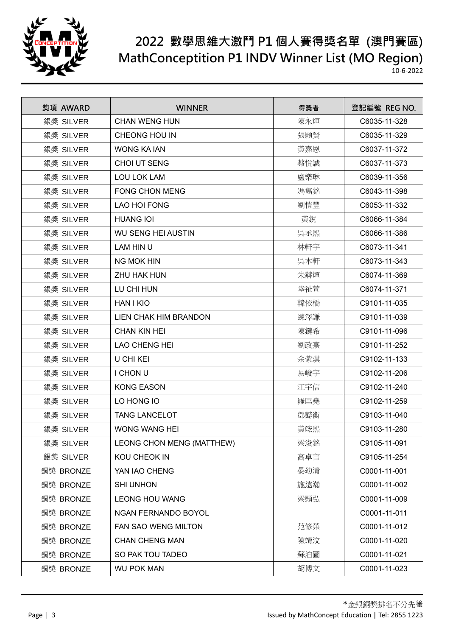

| 獎項 AWARD  | <b>WINNER</b>              | 得獎者 | 登記編號 REG NO. |
|-----------|----------------------------|-----|--------------|
| 銀獎 SILVER | <b>CHAN WENG HUN</b>       | 陳永烜 | C6035-11-328 |
| 銀獎 SILVER | CHEONG HOU IN              | 張顥賢 | C6035-11-329 |
| 銀獎 SILVER | <b>WONG KA IAN</b>         | 黃嘉恩 | C6037-11-372 |
| 銀獎 SILVER | CHOI UT SENG               | 蔡悅誠 | C6037-11-373 |
| 銀獎 SILVER | <b>LOU LOK LAM</b>         | 盧樂琳 | C6039-11-356 |
| 銀獎 SILVER | <b>FONG CHON MENG</b>      | 馮雋銘 | C6043-11-398 |
| 銀獎 SILVER | <b>LAO HOI FONG</b>        | 劉愷豐 | C6053-11-332 |
| 銀獎 SILVER | <b>HUANG IOI</b>           | 黃銳  | C6066-11-384 |
| 銀獎 SILVER | <b>WU SENG HEI AUSTIN</b>  | 吳丞熙 | C6066-11-386 |
| 銀獎 SILVER | LAM HIN U                  | 林軒宇 | C6073-11-341 |
| 銀獎 SILVER | <b>NG MOK HIN</b>          | 吳木軒 | C6073-11-343 |
| 銀獎 SILVER | ZHU HAK HUN                | 朱赫煊 | C6074-11-369 |
| 銀獎 SILVER | LU CHI HUN                 | 陸祉萱 | C6074-11-371 |
| 銀獎 SILVER | <b>HAN I KIO</b>           | 韓依橋 | C9101-11-035 |
| 銀獎 SILVER | LIEN CHAK HIM BRANDON      | 練澤謙 | C9101-11-039 |
| 銀獎 SILVER | <b>CHAN KIN HEI</b>        | 陳鍵希 | C9101-11-096 |
| 銀獎 SILVER | <b>LAO CHENG HEI</b>       | 劉政熹 | C9101-11-252 |
| 銀獎 SILVER | U CHI KEI                  | 余紫淇 | C9102-11-133 |
| 銀獎 SILVER | I CHON U                   | 易峻宇 | C9102-11-206 |
| 銀獎 SILVER | <b>KONG EASON</b>          | 江宇信 | C9102-11-240 |
| 銀獎 SILVER | LO HONG IO                 | 羅匡堯 | C9102-11-259 |
| 銀獎 SILVER | <b>TANG LANCELOT</b>       | 鄧懿衡 | C9103-11-040 |
| 銀獎 SILVER | <b>WONG WANG HEI</b>       | 黃竤熙 | C9103-11-280 |
| 銀獎 SILVER | LEONG CHON MENG (MATTHEW)  | 梁浚銘 | C9105-11-091 |
| 銀獎 SILVER | KOU CHEOK IN               | 高卓言 | C9105-11-254 |
| 銅獎 BRONZE | YAN IAO CHENG              | 晏幼清 | C0001-11-001 |
| 銅獎 BRONZE | <b>SHI UNHON</b>           | 施遠瀚 | C0001-11-002 |
| 銅獎 BRONZE | <b>LEONG HOU WANG</b>      | 梁顥弘 | C0001-11-009 |
| 銅獎 BRONZE | NGAN FERNANDO BOYOL        |     | C0001-11-011 |
| 銅獎 BRONZE | <b>FAN SAO WENG MILTON</b> | 范修榮 | C0001-11-012 |
| 銅獎 BRONZE | <b>CHAN CHENG MAN</b>      | 陳靖汶 | C0001-11-020 |
| 銅獎 BRONZE | SO PAK TOU TADEO           | 蘇泊圖 | C0001-11-021 |
| 銅獎 BRONZE | <b>WU POK MAN</b>          | 胡博文 | C0001-11-023 |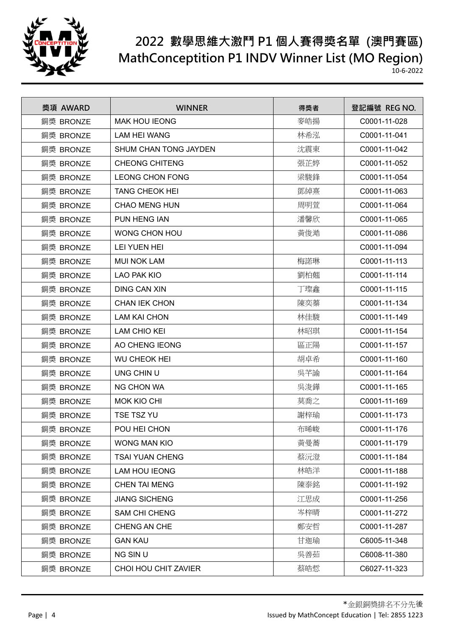

| 獎項 AWARD  | <b>WINNER</b>          | 得獎者 | 登記編號 REG NO. |
|-----------|------------------------|-----|--------------|
| 銅獎 BRONZE | <b>MAK HOU IEONG</b>   | 麥皓揚 | C0001-11-028 |
| 銅獎 BRONZE | <b>LAM HEI WANG</b>    | 林希泓 | C0001-11-041 |
| 銅獎 BRONZE | SHUM CHAN TONG JAYDEN  | 沈震東 | C0001-11-042 |
| 銅獎 BRONZE | <b>CHEONG CHITENG</b>  | 張芷婷 | C0001-11-052 |
| 銅獎 BRONZE | <b>LEONG CHON FONG</b> | 梁駿鋒 | C0001-11-054 |
| 銅獎 BRONZE | <b>TANG CHEOK HEI</b>  | 鄧綽熹 | C0001-11-063 |
| 銅獎 BRONZE | <b>CHAO MENG HUN</b>   | 周明萱 | C0001-11-064 |
| 銅獎 BRONZE | PUN HENG IAN           | 潘馨欣 | C0001-11-065 |
| 銅獎 BRONZE | <b>WONG CHON HOU</b>   | 黃俊澔 | C0001-11-086 |
| 銅獎 BRONZE | LEI YUEN HEI           |     | C0001-11-094 |
| 銅獎 BRONZE | <b>MUI NOK LAM</b>     | 梅諾琳 | C0001-11-113 |
| 銅獎 BRONZE | <b>LAO PAK KIO</b>     | 劉柏翹 | C0001-11-114 |
| 銅獎 BRONZE | <b>DING CAN XIN</b>    | 丁璨鑫 | C0001-11-115 |
| 銅獎 BRONZE | <b>CHAN IEK CHON</b>   | 陳奕蓁 | C0001-11-134 |
| 銅獎 BRONZE | <b>LAM KAI CHON</b>    | 林佳駿 | C0001-11-149 |
| 銅獎 BRONZE | <b>LAM CHIO KEI</b>    | 林昭琪 | C0001-11-154 |
| 銅獎 BRONZE | AO CHENG IEONG         | 區正陽 | C0001-11-157 |
| 銅獎 BRONZE | <b>WU CHEOK HEI</b>    | 胡卓希 | C0001-11-160 |
| 銅獎 BRONZE | UNG CHIN U             | 吳芊諭 | C0001-11-164 |
| 銅獎 BRONZE | <b>NG CHON WA</b>      | 吳浚鏵 | C0001-11-165 |
| 銅獎 BRONZE | <b>MOK KIO CHI</b>     | 莫喬之 | C0001-11-169 |
| 銅獎 BRONZE | <b>TSE TSZ YU</b>      | 謝梓瑜 | C0001-11-173 |
| 銅獎 BRONZE | POU HEI CHON           | 布晞峻 | C0001-11-176 |
| 銅獎 BRONZE | <b>WONG MAN KIO</b>    | 黃曼蕎 | C0001-11-179 |
| 銅獎 BRONZE | <b>TSAI YUAN CHENG</b> | 蔡沅澄 | C0001-11-184 |
| 銅獎 BRONZE | LAM HOU IEONG          | 林皓洋 | C0001-11-188 |
| 銅獎 BRONZE | <b>CHEN TAI MENG</b>   | 陳泰銘 | C0001-11-192 |
| 銅獎 BRONZE | <b>JIANG SICHENG</b>   | 江思成 | C0001-11-256 |
| 銅獎 BRONZE | <b>SAM CHI CHENG</b>   | 岑梓晴 | C0001-11-272 |
| 銅獎 BRONZE | CHENG AN CHE           | 鄭安哲 | C0001-11-287 |
| 銅獎 BRONZE | <b>GAN KAU</b>         | 甘迦瑜 | C6005-11-348 |
| 銅獎 BRONZE | NG SIN U               | 吳善茹 | C6008-11-380 |
| 銅獎 BRONZE | CHOI HOU CHIT ZAVIER   | 蔡皓悊 | C6027-11-323 |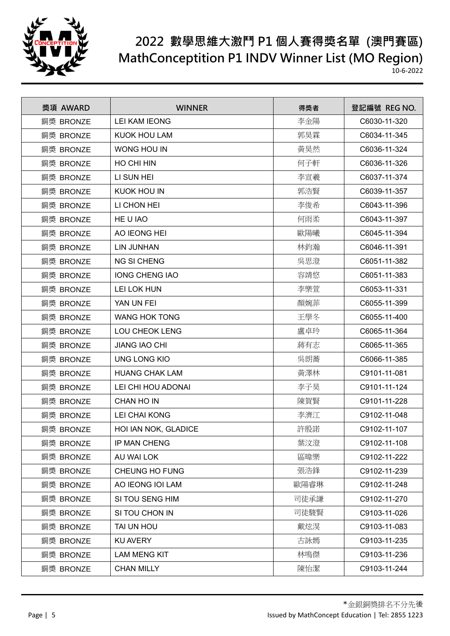

| 獎項 AWARD  | <b>WINNER</b>         | 得獎者  | 登記編號 REG NO. |
|-----------|-----------------------|------|--------------|
| 銅獎 BRONZE | <b>LEI KAM IEONG</b>  | 李金陽  | C6030-11-320 |
| 銅獎 BRONZE | <b>KUOK HOU LAM</b>   | 郭昊霖  | C6034-11-345 |
| 銅獎 BRONZE | WONG HOU IN           | 黃昊然  | C6036-11-324 |
| 銅獎 BRONZE | HO CHI HIN            | 何子軒  | C6036-11-326 |
| 銅獎 BRONZE | LI SUN HEI            | 李宣羲  | C6037-11-374 |
| 銅獎 BRONZE | <b>KUOK HOU IN</b>    | 郭浩賢  | C6039-11-357 |
| 銅獎 BRONZE | LI CHON HEI           | 李俊希  | C6043-11-396 |
| 銅獎 BRONZE | HE U IAO              | 何雨柔  | C6043-11-397 |
| 銅獎 BRONZE | AO IEONG HEI          | 歐陽曦  | C6045-11-394 |
| 銅獎 BRONZE | <b>LIN JUNHAN</b>     | 林鈞瀚  | C6046-11-391 |
| 銅獎 BRONZE | <b>NG SI CHENG</b>    | 吳思澄  | C6051-11-382 |
| 銅獎 BRONZE | <b>IONG CHENG IAO</b> | 容靖悠  | C6051-11-383 |
| 銅獎 BRONZE | LEI LOK HUN           | 李樂萱  | C6053-11-331 |
| 銅獎 BRONZE | YAN UN FEI            | 顏婉菲  | C6055-11-399 |
| 銅獎 BRONZE | <b>WANG HOK TONG</b>  | 王學冬  | C6055-11-400 |
| 銅獎 BRONZE | <b>LOU CHEOK LENG</b> | 盧卓玲  | C6065-11-364 |
| 銅獎 BRONZE | <b>JIANG IAO CHI</b>  | 蔣有志  | C6065-11-365 |
| 銅獎 BRONZE | <b>UNG LONG KIO</b>   | 吳朗蕎  | C6066-11-385 |
| 銅獎 BRONZE | <b>HUANG CHAK LAM</b> | 黃澤林  | C9101-11-081 |
| 銅獎 BRONZE | LEI CHI HOU ADONAI    | 李子昊  | C9101-11-124 |
| 銅獎 BRONZE | CHAN HO IN            | 陳賀賢  | C9101-11-228 |
| 銅獎 BRONZE | <b>LEI CHAI KONG</b>  | 李濟江  | C9102-11-048 |
| 銅獎 BRONZE | HOI IAN NOK, GLADICE  | 許殷諾  | C9102-11-107 |
| 銅獎 BRONZE | <b>IP MAN CHENG</b>   | 葉汶澄  | C9102-11-108 |
| 銅獎 BRONZE | AU WAI LOK            | 區暐樂  | C9102-11-222 |
| 銅獎 BRONZE | CHEUNG HO FUNG        | 張浩鋒  | C9102-11-239 |
| 銅獎 BRONZE | AO IEONG IOI LAM      | 歐陽睿琳 | C9102-11-248 |
| 銅獎 BRONZE | SI TOU SENG HIM       | 司徒承謙 | C9102-11-270 |
| 銅獎 BRONZE | SI TOU CHON IN        | 司徒駿賢 | C9103-11-026 |
| 銅獎 BRONZE | TAI UN HOU            | 戴炫淏  | C9103-11-083 |
| 銅獎 BRONZE | <b>KU AVERY</b>       | 古詠嫣  | C9103-11-235 |
| 銅獎 BRONZE | <b>LAM MENG KIT</b>   | 林鳴傑  | C9103-11-236 |
| 銅獎 BRONZE | <b>CHAN MILLY</b>     | 陳怡潔  | C9103-11-244 |